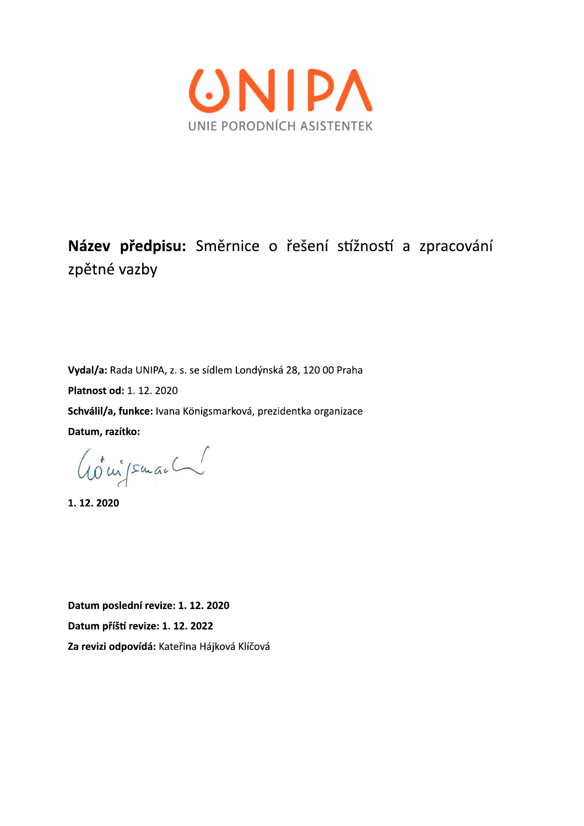

## Název předpisu: Směrnice o řešení stížností a zpracování zpětné vazby

Vydal/a: Rada UNIPA, z. s. se sídlem Londýnská 28, 120 00 Praha Platnost od: 1. 12. 2020 Schválil/a, funkce: Ivana Königsmarková, prezidentka organizace Datum, razítko:

Goujsman

1.12.2020

Datum poslední revize: 1. 12. 2020 Datum příští revize: 1. 12. 2022 Za revizi odpovídá: Kateřina Hájková Klíčová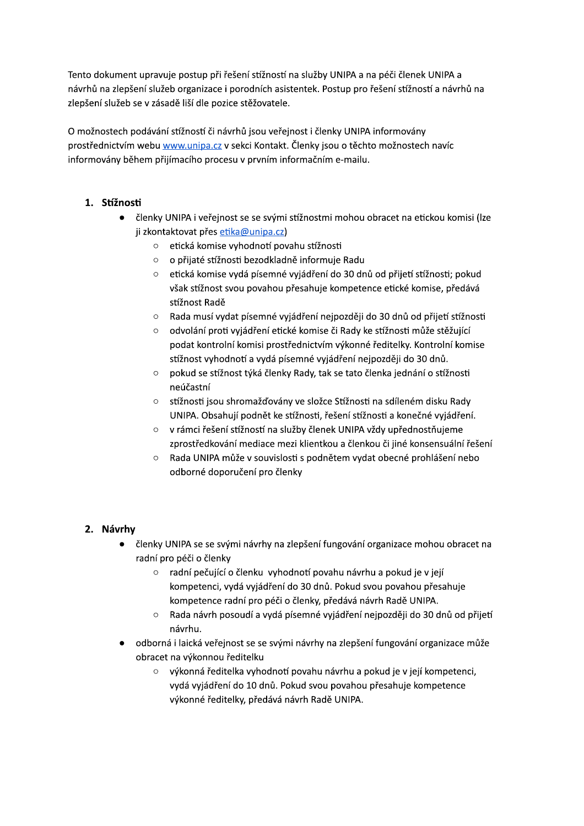Tento dokument upravuje postup při řešení stížností na služby UNIPA a na péči členek UNIPA a návrhů na zlepšení služeb organizace i porodních asistentek. Postup pro řešení stížností a návrhů na zlepšení služeb se v zásadě liší dle pozice stěžovatele.

O možnostech podávání stížností či návrhů jsou veřejnost i členky UNIPA informovány prostřednictvím webu www.unipa.cz v sekci Kontakt. Členky jsou o těchto možnostech navíc informovány během přijímacího procesu v prvním informačním e-mailu.

## 1. Stížnosti

- členky UNIPA i veřejnost se se svými stížnostmi mohou obracet na etickou komisi (Ize  $\bullet$ ji zkontaktovat přes etika@unipa.cz)
	- o etická komise vyhodnotí povahu stížnosti
	- o o přijaté stížnosti bezodkladně informuje Radu
	- o etická komise vydá písemné vyjádření do 30 dnů od přijetí stížnosti; pokud však stížnost svou povahou přesahuje kompetence etické komise, předává stížnost Radě
	- Rada musí vydat písemné vyjádření nejpozději do 30 dnů od přijetí stížnosti  $\circ$
	- $\circ$ odvolání proti vyjádření etické komise či Rady ke stížnosti může stěžující podat kontrolní komisi prostřednictvím výkonné ředitelky. Kontrolní komise stížnost vyhodnotí a vydá písemné vyjádření nejpozději do 30 dnů.
	- pokud se stížnost týká členky Rady, tak se tato členka jednání o stížnosti  $\circ$ neúčastní
	- o stížnosti jsou shromažďovány ve složce Stížnosti na sdíleném disku Rady UNIPA. Obsahují podnět ke stížnosti, řešení stížnosti a konečné vyjádření.
	- $\circ$ v rámci řešení stížností na služby členek UNIPA vždy upřednostňujeme zprostředkování mediace mezi klientkou a členkou či jiné konsensuální řešení
	- Rada UNIPA může v souvislosti s podnětem vydat obecné prohlášení nebo  $\circ$ odborné doporučení pro členky

## 2. Návrhy

- · členky UNIPA se se svými návrhy na zlepšení fungování organizace mohou obracet na radní pro péči o členky
	- $\circ$ radní pečující o členku vyhodnotí povahu návrhu a pokud je v její kompetenci, vydá vyjádření do 30 dnů. Pokud svou povahou přesahuje kompetence radní pro péči o členky, předává návrh Radě UNIPA.
	- Rada návrh posoudí a vydá písemné vyjádření nejpozději do 30 dnů od přijetí  $\circ$ návrhu.
- · odborná i laická veřejnost se se svými návrhy na zlepšení fungování organizace může obracet na výkonnou ředitelku
	- výkonná ředitelka vyhodnotí povahu návrhu a pokud je v její kompetenci, vydá vyjádření do 10 dnů. Pokud svou povahou přesahuje kompetence výkonné ředitelky, předává návrh Radě UNIPA.